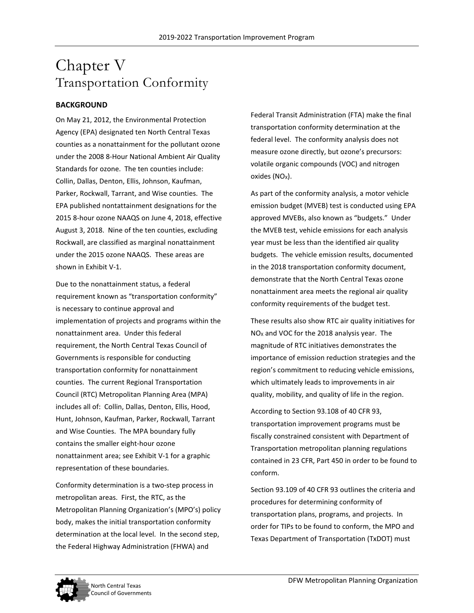# Chapter V Transportation Conformity

### **BACKGROUND**

On May 21, 2012, the Environmental Protection Agency (EPA) designated ten North Central Texas counties as a nonattainment for the pollutant ozone under the 2008 8-Hour National Ambient Air Quality Standards for ozone. The ten counties include: Collin, Dallas, Denton, Ellis, Johnson, Kaufman, Parker, Rockwall, Tarrant, and Wise counties. The EPA published nontattainment designations for the 2015 8-hour ozone NAAQS on June 4, 2018, effective August 3, 2018. Nine of the ten counties, excluding Rockwall, are classified as marginal nonattainment under the 2015 ozone NAAQS. These areas are shown in Exhibit V-1.

Due to the nonattainment status, a federal requirement known as "transportation conformity" is necessary to continue approval and implementation of projects and programs within the nonattainment area. Under this federal requirement, the North Central Texas Council of Governments is responsible for conducting transportation conformity for nonattainment counties. The current Regional Transportation Council (RTC) Metropolitan Planning Area (MPA) includes all of: Collin, Dallas, Denton, Ellis, Hood, Hunt, Johnson, Kaufman, Parker, Rockwall, Tarrant and Wise Counties. The MPA boundary fully contains the smaller eight-hour ozone nonattainment area; see Exhibit V-1 for a graphic representation of these boundaries.

Conformity determination is a two-step process in metropolitan areas. First, the RTC, as the Metropolitan Planning Organization's (MPO's) policy body, makes the initial transportation conformity determination at the local level. In the second step, the Federal Highway Administration (FHWA) and

Federal Transit Administration (FTA) make the final transportation conformity determination at the federal level. The conformity analysis does not measure ozone directly, but ozone's precursors: volatile organic compounds (VOC) and nitrogen  $o$ xides  $(NO<sub>X</sub>)$ .

As part of the conformity analysis, a motor vehicle emission budget (MVEB) test is conducted using EPA approved MVEBs, also known as "budgets." Under the MVEB test, vehicle emissions for each analysis year must be less than the identified air quality budgets. The vehicle emission results, documented in the 2018 transportation conformity document, demonstrate that the North Central Texas ozone nonattainment area meets the regional air quality conformity requirements of the budget test.

These results also show RTC air quality initiatives for  $NO<sub>x</sub>$  and VOC for the 2018 analysis year. The magnitude of RTC initiatives demonstrates the importance of emission reduction strategies and the region's commitment to reducing vehicle emissions, which ultimately leads to improvements in air quality, mobility, and quality of life in the region.

According to Section 93.108 of 40 CFR 93, transportation improvement programs must be fiscally constrained consistent with Department of Transportation metropolitan planning regulations contained in 23 CFR, Part 450 in order to be found to conform.

Section 93.109 of 40 CFR 93 outlines the criteria and procedures for determining conformity of transportation plans, programs, and projects. In order for TIPs to be found to conform, the MPO and Texas Department of Transportation (TxDOT) must

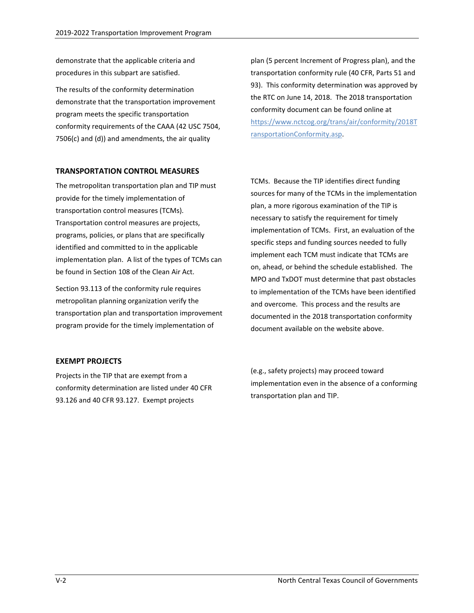demonstrate that the applicable criteria and procedures in this subpart are satisfied.

The results of the conformity determination demonstrate that the transportation improvement program meets the specific transportation conformity requirements of the CAAA (42 USC 7504, 7506(c) and (d)) and amendments, the air quality

plan (5 percent Increment of Progress plan), and the transportation conformity rule (40 CFR, Parts 51 and 93). This conformity determination was approved by the RTC on June 14, 2018. The 2018 transportation conformity document can be found online at [https://www.nctcog.org/trans/air/conformity/2018T](https://www.nctcog.org/trans/air/conformity/2018TransportationConformity.asp) [ransportationConformity.asp.](https://www.nctcog.org/trans/air/conformity/2018TransportationConformity.asp)

#### **TRANSPORTATION CONTROL MEASURES**

The metropolitan transportation plan and TIP must provide for the timely implementation of transportation control measures (TCMs). Transportation control measures are projects, programs, policies, or plans that are specifically identified and committed to in the applicable implementation plan. A list of the types of TCMs can be found in Section 108 of the Clean Air Act.

Section 93.113 of the conformity rule requires metropolitan planning organization verify the transportation plan and transportation improvement program provide for the timely implementation of

TCMs. Because the TIP identifies direct funding sources for many of the TCMs in the implementation plan, a more rigorous examination of the TIP is necessary to satisfy the requirement for timely implementation of TCMs. First, an evaluation of the specific steps and funding sources needed to fully implement each TCM must indicate that TCMs are on, ahead, or behind the schedule established. The MPO and TxDOT must determine that past obstacles to implementation of the TCMs have been identified and overcome. This process and the results are documented in the 2018 transportation conformity document available on the website above.

#### **EXEMPT PROJECTS**

Projects in the TIP that are exempt from a conformity determination are listed under 40 CFR 93.126 and 40 CFR 93.127. Exempt projects

(e.g., safety projects) may proceed toward implementation even in the absence of a conforming transportation plan and TIP.